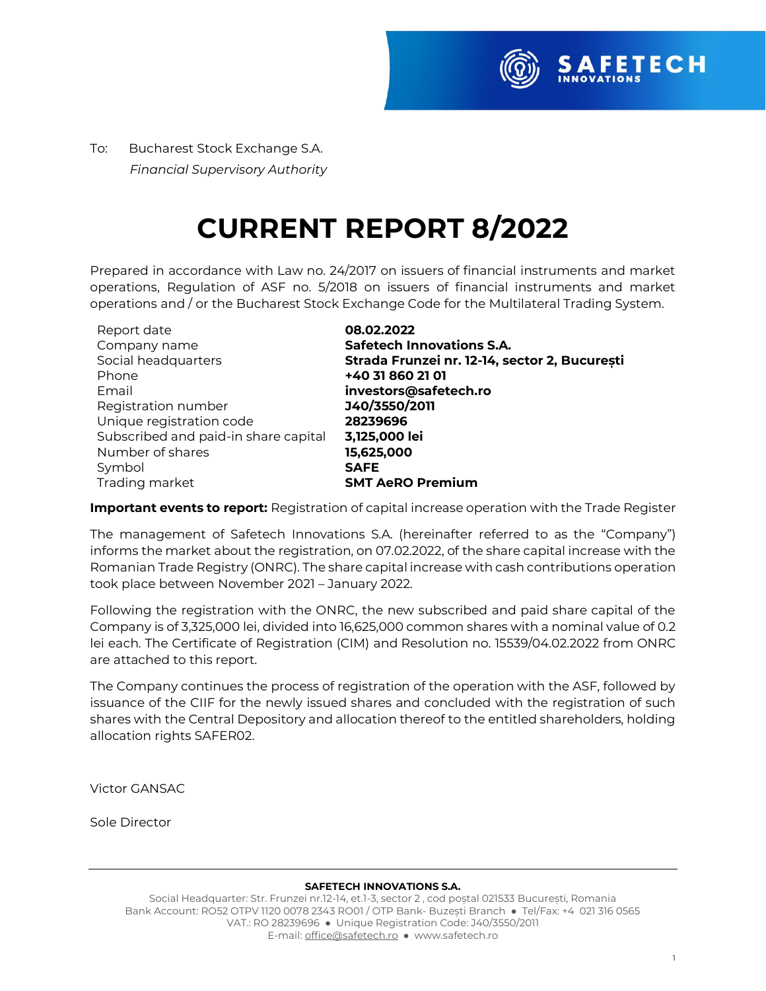

To:Bucharest Stock Exchange S.A.  *Financial Supervisory Authority*

# **CURRENT REPORT 8/2022**

Prepared in accordance with Law no. 24/2017 on issuers of financial instruments and market operations, Regulation of ASF no. 5/2018 on issuers of financial instruments and market operations and / or the Bucharest Stock Exchange Code for the Multilateral Trading System.

| Report date                          | 08.02.2022                                    |
|--------------------------------------|-----------------------------------------------|
| Company name                         | <b>Safetech Innovations S.A.</b>              |
| Social headquarters                  | Strada Frunzei nr. 12-14, sector 2, București |
| Phone                                | +40 31 860 21 01                              |
| Email                                | investors@safetech.ro                         |
| Registration number                  | J40/3550/2011                                 |
| Unique registration code             | 28239696                                      |
| Subscribed and paid-in share capital | 3,125,000 lei                                 |
| Number of shares                     | 15,625,000                                    |
| Symbol                               | <b>SAFE</b>                                   |
| Trading market                       | <b>SMT AeRO Premium</b>                       |

**Important events to report:** Registration of capital increase operation with the Trade Register

The management of Safetech Innovations S.A. (hereinafter referred to as the "Company") informs the market about the registration, on 07.02.2022, of the share capital increase with the Romanian Trade Registry (ONRC). The share capital increase with cash contributions operation took place between November 2021 – January 2022.

Following the registration with the ONRC, the new subscribed and paid share capital of the Company is of 3,325,000 lei, divided into 16,625,000 common shares with a nominal value of 0.2 lei each. The Certificate of Registration (CIM) and Resolution no. 15539/04.02.2022 from ONRC are attached to this report.

The Company continues the process of registration of the operation with the ASF, followed by issuance of the CIIF for the newly issued shares and concluded with the registration of such shares with the Central Depository and allocation thereof to the entitled shareholders, holding allocation rights SAFER02.

Victor GANSAC

Sole Director

#### **SAFETECH INNOVATIONS S.A.**

Social Headquarter: Str. Frunzei nr.12-14, et.1-3, sector 2 , cod poștal 021533 București, Romania Bank Account: RO52 OTPV 1120 0078 2343 RO01 / OTP Bank- Buzești Branch ● Tel/Fax: +4 021 316 0565 VAT.: RO 28239696 ● Unique Registration Code: J40/3550/2011 E-mail[: office@safetech.ro](mailto:office@safetech.ro) ● www.safetech.ro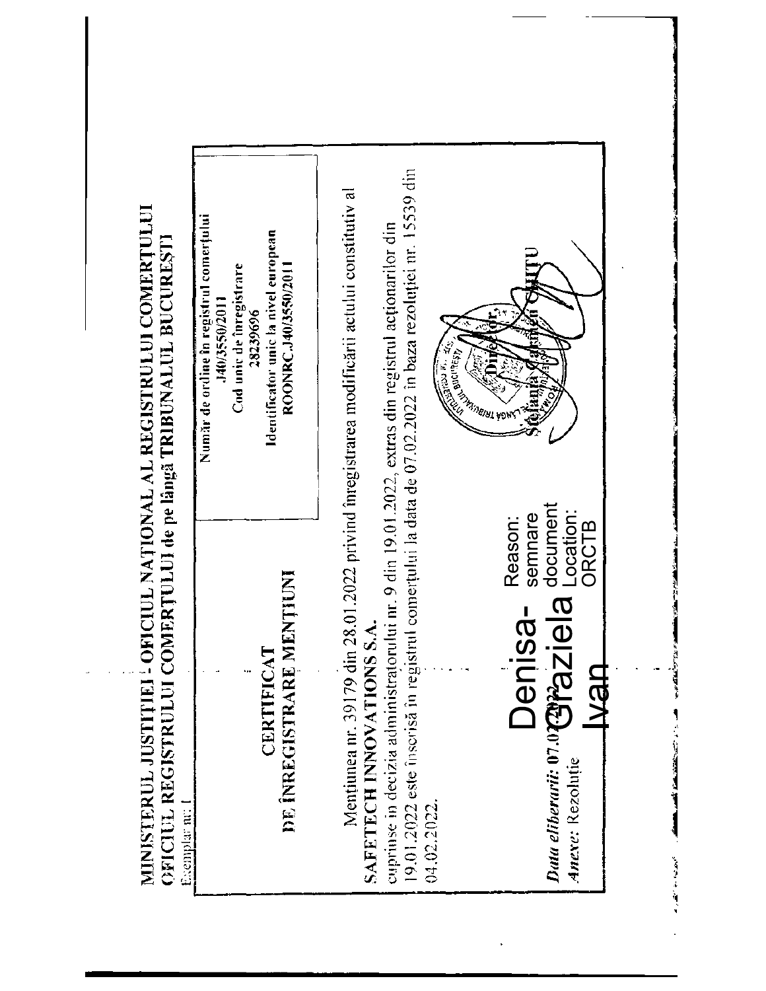| strul comerțului la data de 07.02.2022 în baza rezoluției nr. 15539 din<br>Mentiumea nr. 39179 din 28.01.2022 privind înregistrarea modificării actului constitutiv al<br>cuprinse in decizia administratorului nr. 9 din 19.01.2022, extras din registrul acționarilor din<br><b>RESEARCH STARS</b><br><b>CALCONNESS</b><br>8<br>document<br>Location:<br>semnare<br>Reason:<br>ORCTB |                                                                                                                                                                  |                                                                                 |
|----------------------------------------------------------------------------------------------------------------------------------------------------------------------------------------------------------------------------------------------------------------------------------------------------------------------------------------------------------------------------------------|------------------------------------------------------------------------------------------------------------------------------------------------------------------|---------------------------------------------------------------------------------|
|                                                                                                                                                                                                                                                                                                                                                                                        | Număr de ordine în registrul comerțului<br>Identificator unic la nivel european<br>Cod unic de înregistrare<br>ROONRC.J40/3550/2011<br>140/3550/2011<br>28239696 |                                                                                 |
|                                                                                                                                                                                                                                                                                                                                                                                        | DE ÎNREGISTRARE MENȚIUNI<br>CERTIFICAT                                                                                                                           | <b>Duta eliberarii: 07.0 Papa Ziela</b><br>Jenisa-<br>SAFETECH INNOVATIONS S.A. |

 $\frac{1}{2}$ 

 $\overline{a}$